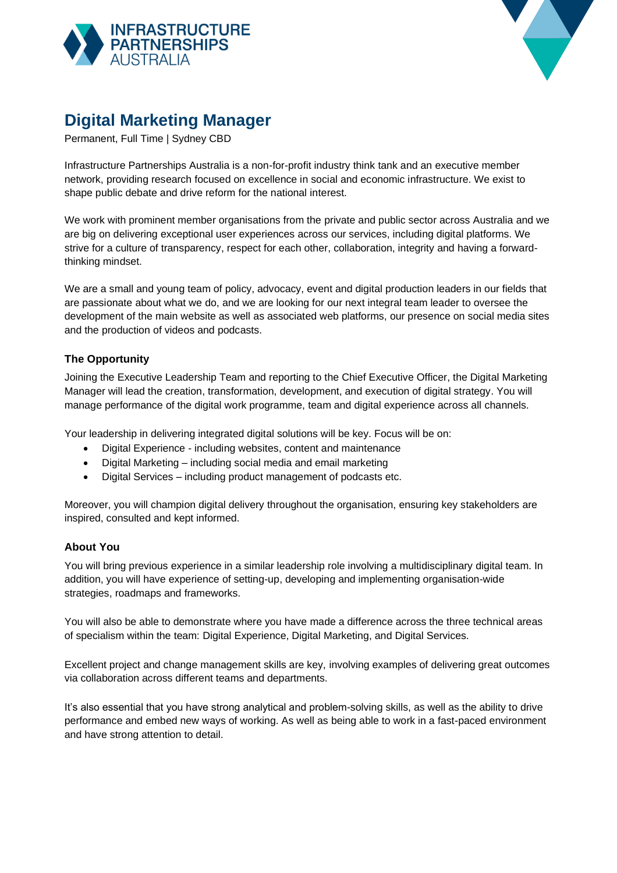



# **Digital Marketing Manager**

Permanent, Full Time | Sydney CBD

Infrastructure Partnerships Australia is a non-for-profit industry think tank and an executive member network, providing research focused on excellence in social and economic infrastructure. We exist to shape public debate and drive reform for the national interest.

We work with prominent member organisations from the private and public sector across Australia and we are big on delivering exceptional user experiences across our services, including digital platforms. We strive for a culture of transparency, respect for each other, collaboration, integrity and having a forwardthinking mindset.

We are a small and young team of policy, advocacy, event and digital production leaders in our fields that are passionate about what we do, and we are looking for our next integral team leader to oversee the development of the main website as well as associated web platforms, our presence on social media sites and the production of videos and podcasts.

# **The Opportunity**

Joining the Executive Leadership Team and reporting to the Chief Executive Officer, the Digital Marketing Manager will lead the creation, transformation, development, and execution of digital strategy. You will manage performance of the digital work programme, team and digital experience across all channels.

Your leadership in delivering integrated digital solutions will be key. Focus will be on:

- Digital Experience including websites, content and maintenance
- Digital Marketing including social media and email marketing
- Digital Services including product management of podcasts etc.

Moreover, you will champion digital delivery throughout the organisation, ensuring key stakeholders are inspired, consulted and kept informed.

### **About You**

You will bring previous experience in a similar leadership role involving a multidisciplinary digital team. In addition, you will have experience of setting-up, developing and implementing organisation-wide strategies, roadmaps and frameworks.

You will also be able to demonstrate where you have made a difference across the three technical areas of specialism within the team: Digital Experience, Digital Marketing, and Digital Services.

Excellent project and change management skills are key, involving examples of delivering great outcomes via collaboration across different teams and departments.

It's also essential that you have strong analytical and problem-solving skills, as well as the ability to drive performance and embed new ways of working. As well as being able to work in a fast-paced environment and have strong attention to detail.